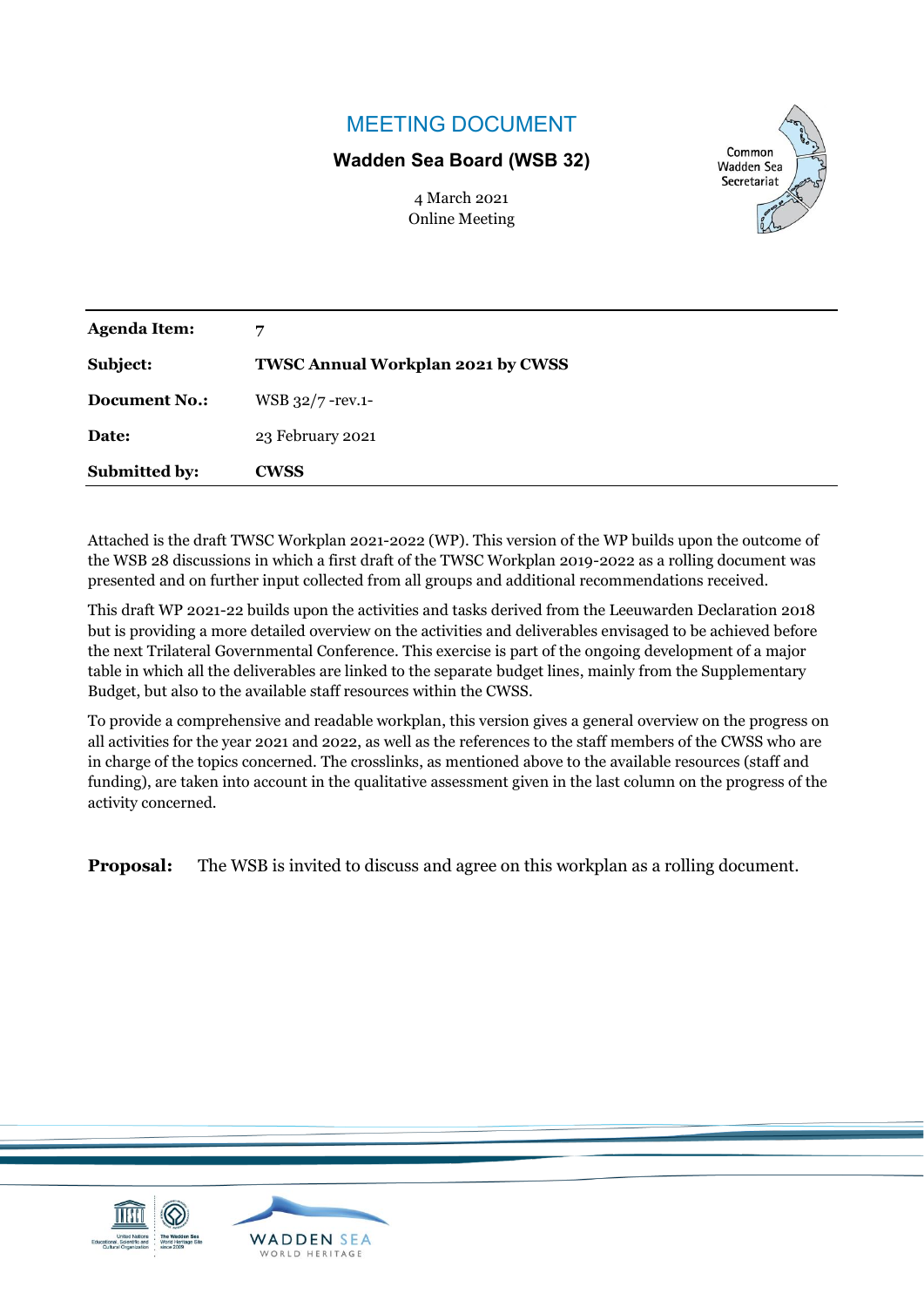## MEETING DOCUMENT

## **Wadden Sea Board (WSB 32)**

4 March 2021 Online Meeting



| <b>Submitted by:</b> | <b>CWSS</b>                       |
|----------------------|-----------------------------------|
| Date:                | 23 February 2021                  |
| <b>Document No.:</b> | WSB 32/7 - rev.1-                 |
| Subject:             | TWSC Annual Workplan 2021 by CWSS |
| <b>Agenda Item:</b>  | 7                                 |

Attached is the draft TWSC Workplan 2021-2022 (WP). This version of the WP builds upon the outcome of the WSB 28 discussions in which a first draft of the TWSC Workplan 2019-2022 as a rolling document was presented and on further input collected from all groups and additional recommendations received.

This draft WP 2021-22 builds upon the activities and tasks derived from the Leeuwarden Declaration 2018 but is providing a more detailed overview on the activities and deliverables envisaged to be achieved before the next Trilateral Governmental Conference. This exercise is part of the ongoing development of a major table in which all the deliverables are linked to the separate budget lines, mainly from the Supplementary Budget, but also to the available staff resources within the CWSS.

To provide a comprehensive and readable workplan, this version gives a general overview on the progress on all activities for the year 2021 and 2022, as well as the references to the staff members of the CWSS who are in charge of the topics concerned. The crosslinks, as mentioned above to the available resources (staff and funding), are taken into account in the qualitative assessment given in the last column on the progress of the activity concerned.

**Proposal:** The WSB is invited to discuss and agree on this workplan as a rolling document.

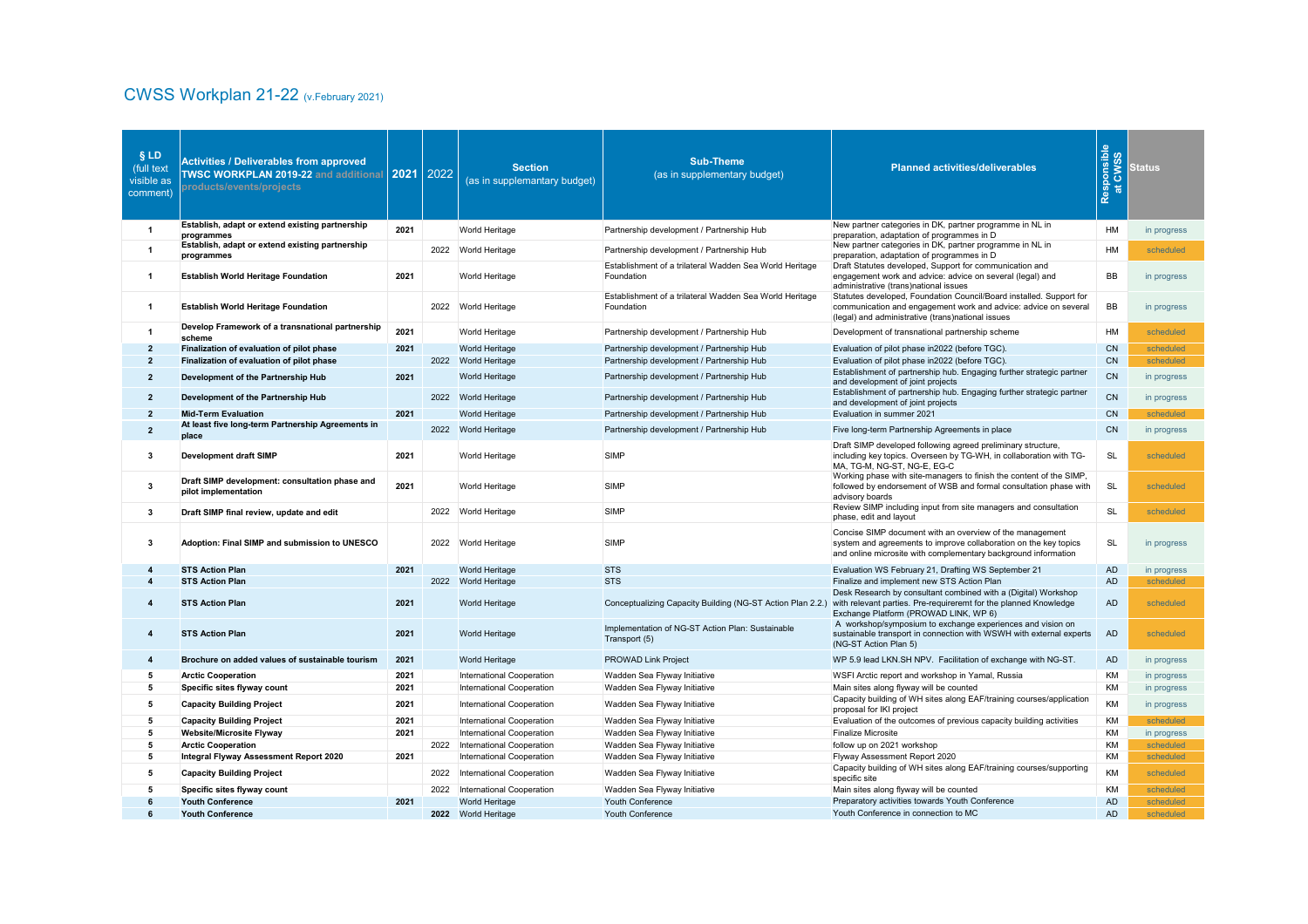## CWSS Workplan 21-22 (v.February 2021)

| <b>§LD</b><br>(full text<br>visible as<br>comment) | <b>Activities / Deliverables from approved</b><br>TWSC WORKPLAN 2019-22 and additional 2021 2022<br>products/events/projects |      |      | <b>Section</b><br>(as in supplemantary budget) | <b>Sub-Theme</b><br>(as in supplementary budget)                      | <b>Planned activities/deliverables</b>                                                                                                                                                         | Responsible<br>at CWSS<br>$\bullet$<br>局 | <b>Status</b> |
|----------------------------------------------------|------------------------------------------------------------------------------------------------------------------------------|------|------|------------------------------------------------|-----------------------------------------------------------------------|------------------------------------------------------------------------------------------------------------------------------------------------------------------------------------------------|------------------------------------------|---------------|
|                                                    | Establish, adapt or extend existing partnership<br>programmes                                                                | 2021 |      | <b>World Heritage</b>                          | Partnership development / Partnership Hub                             | New partner categories in DK, partner programme in NL in<br>preparation, adaptation of programmes in D                                                                                         | HM                                       | in progress   |
|                                                    | Establish, adapt or extend existing partnership<br>programmes                                                                |      |      | 2022 World Heritage                            | Partnership development / Partnership Hub                             | New partner categories in DK, partner programme in NL in<br>preparation, adaptation of programmes in D                                                                                         | HM                                       | scheduled     |
|                                                    | <b>Establish World Heritage Foundation</b>                                                                                   | 2021 |      | <b>World Heritage</b>                          | Establishment of a trilateral Wadden Sea World Heritage<br>Foundation | Draft Statutes developed, Support for communication and<br>engagement work and advice: advice on several (legal) and<br>administrative (trans)national issues                                  | BB                                       | in progress   |
|                                                    | <b>Establish World Heritage Foundation</b>                                                                                   |      | 2022 | <b>World Heritage</b>                          | Establishment of a trilateral Wadden Sea World Heritage<br>Foundation | Statutes developed, Foundation Council/Board installed. Support for<br>communication and engagement work and advice: advice on several<br>(legal) and administrative (trans)national issues    | BB                                       | in progress   |
|                                                    | Develop Framework of a transnational partnership<br>scheme                                                                   | 2021 |      | <b>World Heritage</b>                          | Partnership development / Partnership Hub                             | Development of transnational partnership scheme                                                                                                                                                | HM                                       | scheduled     |
| $\mathbf{2}$                                       | Finalization of evaluation of pilot phase                                                                                    | 2021 |      | <b>World Heritage</b>                          | Partnership development / Partnership Hub                             | Evaluation of pilot phase in 2022 (before TGC).                                                                                                                                                | CN                                       | scheduled     |
| $2^{\circ}$                                        | Finalization of evaluation of pilot phase                                                                                    |      | 2022 | <b>World Heritage</b>                          | Partnership development / Partnership Hub                             | Evaluation of pilot phase in2022 (before TGC).                                                                                                                                                 | CN                                       | scheduled     |
| $2^{\circ}$                                        | Development of the Partnership Hub                                                                                           | 2021 |      | <b>World Heritage</b>                          | Partnership development / Partnership Hub                             | Establishment of partnership hub. Engaging further strategic partner<br>and development of joint projects                                                                                      | CN                                       | in progress   |
| $\mathbf{2}$                                       | Development of the Partnership Hub                                                                                           |      |      | 2022 World Heritage                            | Partnership development / Partnership Hub                             | Establishment of partnership hub. Engaging further strategic partner<br>and development of joint projects                                                                                      | CN                                       | in progress   |
| $\mathbf{2}$                                       | <b>Mid-Term Evaluation</b>                                                                                                   | 2021 |      | <b>World Heritage</b>                          | Partnership development / Partnership Hub                             | Evaluation in summer 2021                                                                                                                                                                      | CN                                       | scheduled     |
| $\overline{2}$                                     | At least five long-term Partnership Agreements in<br>place                                                                   |      |      | 2022 World Heritage                            | Partnership development / Partnership Hub                             | Five long-term Partnership Agreements in place                                                                                                                                                 | CN                                       | in progress   |
|                                                    | <b>Development draft SIMP</b>                                                                                                | 2021 |      | <b>World Heritage</b>                          | <b>SIMP</b>                                                           | Draft SIMP developed following agreed preliminary structure,<br>including key topics. Overseen by TG-WH, in collaboration with TG-<br>MA, TG-M, NG-ST, NG-E, EG-C                              | <b>SL</b>                                | scheduled     |
| 3                                                  | Draft SIMP development: consultation phase and<br>pilot implementation                                                       | 2021 |      | <b>World Heritage</b>                          | <b>SIMP</b>                                                           | Working phase with site-managers to finish the content of the SIMP,<br>followed by endorsement of WSB and formal consultation phase with<br>advisory boards                                    | <b>SL</b>                                | scheduled     |
|                                                    | Draft SIMP final review, update and edit                                                                                     |      |      | 2022 World Heritage                            | <b>SIMP</b>                                                           | Review SIMP including input from site managers and consultation<br>phase, edit and layout                                                                                                      | <b>SL</b>                                | scheduled     |
| 3                                                  | Adoption: Final SIMP and submission to UNESCO                                                                                |      |      | 2022 World Heritage                            | <b>SIMP</b>                                                           | Concise SIMP document with an overview of the management<br>system and agreements to improve collaboration on the key topics<br>and online microsite with complementary background information | <b>SL</b>                                | in progress   |
|                                                    | <b>STS Action Plan</b>                                                                                                       | 2021 |      | <b>World Heritage</b>                          | <b>STS</b>                                                            | Evaluation WS February 21, Drafting WS September 21                                                                                                                                            | <b>AD</b>                                | in progress   |
|                                                    | <b>STS Action Plan</b>                                                                                                       |      | 2022 | <b>World Heritage</b>                          | <b>STS</b>                                                            | Finalize and implement new STS Action Plan                                                                                                                                                     | <b>AD</b>                                | scheduled     |
|                                                    | <b>STS Action Plan</b>                                                                                                       | 2021 |      | World Heritage                                 | Conceptualizing Capacity Building (NG-ST Action Plan 2.2.)            | Desk Research by consultant combined with a (Digital) Workshop<br>with relevant parties. Pre-requireremt for the planned Knowledge<br>Exchange Platform (PROWAD LINK, WP 6)                    | <b>AD</b>                                | scheduled     |
|                                                    | <b>STS Action Plan</b>                                                                                                       | 2021 |      | <b>World Heritage</b>                          | Implementation of NG-ST Action Plan: Sustainable<br>Transport (5)     | A workshop/symposium to exchange experiences and vision on<br>sustainable transport in connection with WSWH with external experts<br>(NG-ST Action Plan 5)                                     | <b>AD</b>                                | scheduled     |
|                                                    | Brochure on added values of sustainable tourism                                                                              | 2021 |      | <b>World Heritage</b>                          | <b>PROWAD Link Project</b>                                            | WP 5.9 lead LKN.SH NPV. Facilitation of exchange with NG-ST.                                                                                                                                   | AD                                       | in progress   |
| 5                                                  | <b>Arctic Cooperation</b>                                                                                                    | 2021 |      | International Cooperation                      | Wadden Sea Flyway Initiative                                          | WSFI Arctic report and workshop in Yamal, Russia                                                                                                                                               | KM                                       | in progress   |
| 5                                                  | Specific sites flyway count                                                                                                  | 2021 |      | International Cooperation                      | Wadden Sea Flyway Initiative                                          | Main sites along flyway will be counted                                                                                                                                                        | KM                                       | in progress   |
| $5\phantom{.0}$                                    | <b>Capacity Building Project</b>                                                                                             | 2021 |      | International Cooperation                      | Wadden Sea Flyway Initiative                                          | Capacity building of WH sites along EAF/training courses/application<br>proposal for IKI project                                                                                               | KM                                       | in progress   |
| 5                                                  | <b>Capacity Building Project</b>                                                                                             | 2021 |      | International Cooperation                      | Wadden Sea Flyway Initiative                                          | Evaluation of the outcomes of previous capacity building activities                                                                                                                            | KM                                       | scheduled     |
|                                                    | <b>Website/Microsite Flyway</b>                                                                                              | 2021 |      | International Cooperation                      | Wadden Sea Flyway Initiative                                          | <b>Finalize Microsite</b>                                                                                                                                                                      | KM                                       | in progress   |
| 5                                                  | <b>Arctic Cooperation</b>                                                                                                    |      |      | 2022 International Cooperation                 | Wadden Sea Flyway Initiative                                          | follow up on 2021 workshop                                                                                                                                                                     | KM                                       | scheduled     |
| $5^{\circ}$                                        | <b>Integral Flyway Assessment Report 2020</b>                                                                                | 2021 |      | International Cooperation                      | Wadden Sea Flyway Initiative                                          | Flyway Assessment Report 2020<br>Capacity building of WH sites along EAF/training courses/supporting                                                                                           | KM                                       | scheduled     |
| $5^{\circ}$                                        | <b>Capacity Building Project</b>                                                                                             |      | 2022 | International Cooperation                      | Wadden Sea Flyway Initiative                                          | specific site                                                                                                                                                                                  | KM                                       | scheduled     |
| 5                                                  | Specific sites flyway count                                                                                                  |      | 2022 | International Cooperation                      | Wadden Sea Flyway Initiative                                          | Main sites along flyway will be counted                                                                                                                                                        | KM                                       | scheduled     |
|                                                    | <b>Youth Conference</b>                                                                                                      | 2021 |      | <b>World Heritage</b>                          | <b>Youth Conference</b>                                               | Preparatory activities towards Youth Conference                                                                                                                                                | <b>AD</b>                                | scheduled     |
| -6                                                 | <b>Youth Conference</b>                                                                                                      |      |      | 2022 World Heritage                            | <b>Youth Conference</b>                                               | Youth Conference in connection to MC                                                                                                                                                           | <b>AD</b>                                | scheduled     |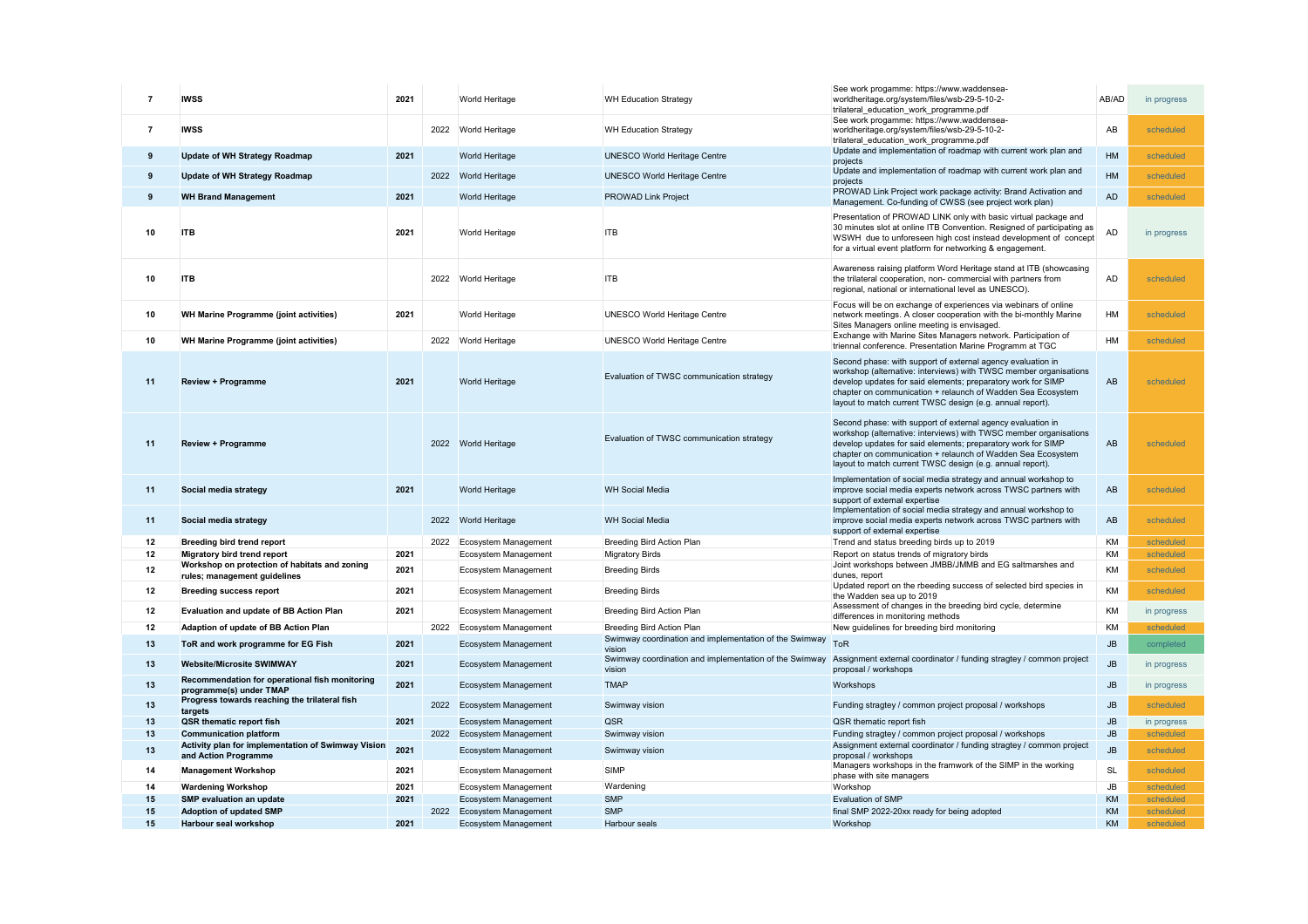|    | <b>IWSS</b>                                                                         | 2021 |      | <b>World Heritage</b>       | <b>WH Education Strategy</b>                                     | See work progamme: https://www.waddensea-<br>worldheritage.org/system/files/wsb-29-5-10-2-<br>trilateral_education_work_programme.pdf                                                                                                                                                                                        | AB/AD         | in progress |
|----|-------------------------------------------------------------------------------------|------|------|-----------------------------|------------------------------------------------------------------|------------------------------------------------------------------------------------------------------------------------------------------------------------------------------------------------------------------------------------------------------------------------------------------------------------------------------|---------------|-------------|
|    | <b>IWSS</b>                                                                         |      |      | 2022 World Heritage         | <b>WH Education Strategy</b>                                     | See work progamme: https://www.waddensea-<br>worldheritage.org/system/files/wsb-29-5-10-2-<br>trilateral_education_work_programme.pdf                                                                                                                                                                                        | AB            | scheduled   |
|    | <b>Update of WH Strategy Roadmap</b>                                                | 2021 |      | <b>World Heritage</b>       | <b>UNESCO World Heritage Centre</b>                              | Update and implementation of roadmap with current work plan and<br>projects                                                                                                                                                                                                                                                  | HM            | scheduled   |
|    | <b>Update of WH Strategy Roadmap</b>                                                |      |      | 2022 World Heritage         | <b>UNESCO World Heritage Centre</b>                              | Update and implementation of roadmap with current work plan and                                                                                                                                                                                                                                                              | HM            | scheduled   |
|    | <b>WH Brand Management</b>                                                          | 2021 |      | <b>World Heritage</b>       | <b>PROWAD Link Project</b>                                       | projects<br>PROWAD Link Project work package activity: Brand Activation and                                                                                                                                                                                                                                                  | <b>AD</b>     | scheduled   |
|    |                                                                                     |      |      |                             |                                                                  | Management. Co-funding of CWSS (see project work plan)                                                                                                                                                                                                                                                                       |               |             |
| 10 | <b>ITB</b>                                                                          | 2021 |      | <b>World Heritage</b>       | <b>ITB</b>                                                       | Presentation of PROWAD LINK only with basic virtual package and<br>30 minutes slot at online ITB Convention. Resigned of participating as<br>WSWH due to unforeseen high cost instead development of concept<br>for a virtual event platform for networking & engagement.                                                    | <b>AD</b>     | in progress |
| 10 | <b>ITB</b>                                                                          |      | 2022 | <b>World Heritage</b>       | <b>ITB</b>                                                       | Awareness raising platform Word Heritage stand at ITB (showcasing<br>the trilateral cooperation, non- commercial with partners from<br>regional, national or international level as UNESCO).                                                                                                                                 | AD            | scheduled   |
| 10 | <b>WH Marine Programme (joint activities)</b>                                       | 2021 |      | <b>World Heritage</b>       | <b>UNESCO World Heritage Centre</b>                              | Focus will be on exchange of experiences via webinars of online<br>network meetings. A closer cooperation with the bi-monthly Marine<br>Sites Managers online meeting is envisaged.                                                                                                                                          | HM            | scheduled   |
| 10 | <b>WH Marine Programme (joint activities)</b>                                       |      | 2022 | <b>World Heritage</b>       | <b>UNESCO World Heritage Centre</b>                              | Exchange with Marine Sites Managers network. Participation of<br>triennal conference. Presentation Marine Programm at TGC                                                                                                                                                                                                    | HM            | scheduled   |
| 11 | <b>Review + Programme</b>                                                           | 2021 |      | <b>World Heritage</b>       | Evaluation of TWSC communication strategy                        | Second phase: with support of external agency evaluation in<br>workshop (alternative: interviews) with TWSC member organisations<br>develop updates for said elements; preparatory work for SIMP<br>chapter on communication + relaunch of Wadden Sea Ecosystem<br>layout to match current TWSC design (e.g. annual report). | AB            | scheduled   |
| 11 | <b>Review + Programme</b>                                                           |      | 2022 | <b>World Heritage</b>       | Evaluation of TWSC communication strategy                        | Second phase: with support of external agency evaluation in<br>workshop (alternative: interviews) with TWSC member organisations<br>develop updates for said elements; preparatory work for SIMP<br>chapter on communication + relaunch of Wadden Sea Ecosystem<br>layout to match current TWSC design (e.g. annual report). | AB            | scheduled   |
| 11 | Social media strategy                                                               | 2021 |      | <b>World Heritage</b>       | <b>WH Social Media</b>                                           | Implementation of social media strategy and annual workshop to<br>improve social media experts network across TWSC partners with<br>support of external expertise                                                                                                                                                            | AB            | scheduled   |
| 11 | Social media strategy                                                               |      | 2022 | <b>World Heritage</b>       | <b>WH Social Media</b>                                           | Implementation of social media strategy and annual workshop to<br>improve social media experts network across TWSC partners with<br>support of external expertise                                                                                                                                                            | AB            | scheduled   |
| 12 | <b>Breeding bird trend report</b>                                                   |      | 2022 | <b>Ecosystem Management</b> | <b>Breeding Bird Action Plan</b>                                 | Trend and status breeding birds up to 2019                                                                                                                                                                                                                                                                                   | KM            | scheduled   |
| 12 | <b>Migratory bird trend report</b><br>Workshop on protection of habitats and zoning | 2021 |      | Ecosystem Management        | <b>Migratory Birds</b>                                           | Report on status trends of migratory birds<br>Joint workshops between JMBB/JMMB and EG saltmarshes and                                                                                                                                                                                                                       | KM            | scheduled   |
| 12 | rules; management guidelines                                                        | 2021 |      | Ecosystem Management        | <b>Breeding Birds</b>                                            | dunes, report                                                                                                                                                                                                                                                                                                                | KM            | scheduled   |
| 12 | <b>Breeding success report</b>                                                      | 2021 |      | Ecosystem Management        | <b>Breeding Birds</b>                                            | Updated report on the rbeeding success of selected bird species in<br>the Wadden sea up to 2019                                                                                                                                                                                                                              | KM            | scheduled   |
| 12 | <b>Evaluation and update of BB Action Plan</b>                                      | 2021 |      | Ecosystem Management        | <b>Breeding Bird Action Plan</b>                                 | Assessment of changes in the breeding bird cycle, determine<br>differences in monitoring methods                                                                                                                                                                                                                             | KM            | in progress |
| 12 | <b>Adaption of update of BB Action Plan</b>                                         |      | 2022 | Ecosystem Management        | <b>Breeding Bird Action Plan</b>                                 | New guidelines for breeding bird monitoring                                                                                                                                                                                                                                                                                  | KM            | scheduled   |
| 13 | ToR and work programme for EG Fish                                                  | 2021 |      | Ecosystem Management        | Swimway coordination and implementation of the Swimway<br>vision | <b>ToR</b>                                                                                                                                                                                                                                                                                                                   | JB            | completed   |
| 13 | <b>Website/Microsite SWIMWAY</b>                                                    | 2021 |      | <b>Ecosystem Management</b> | Swimway coordination and implementation of the Swimway<br>vision | Assignment external coordinator / funding stragtey / common project<br>proposal / workshops                                                                                                                                                                                                                                  | $\mathsf{JB}$ | in progress |
| 13 | Recommendation for operational fish monitoring<br>programme(s) under TMAP           | 2021 |      | <b>Ecosystem Management</b> | <b>TMAP</b>                                                      | Workshops                                                                                                                                                                                                                                                                                                                    | JB            | in progress |
| 13 | Progress towards reaching the trilateral fish<br>targets                            |      | 2022 | <b>Ecosystem Management</b> | Swimway vision                                                   | Funding stragtey / common project proposal / workshops                                                                                                                                                                                                                                                                       | JB            | scheduled   |
| 13 | <b>QSR thematic report fish</b>                                                     | 2021 |      | <b>Ecosystem Management</b> | <b>QSR</b>                                                       | QSR thematic report fish                                                                                                                                                                                                                                                                                                     | JB            | in progress |
| 13 | <b>Communication platform</b>                                                       |      | 2022 | <b>Ecosystem Management</b> | Swimway vision                                                   | Funding stragtey / common project proposal / workshops                                                                                                                                                                                                                                                                       | JB            | scheduled   |
| 13 | Activity plan for implementation of Swimway Vision<br>and Action Programme          | 2021 |      | Ecosystem Management        | Swimway vision                                                   | Assignment external coordinator / funding stragtey / common project<br>proposal / workshops                                                                                                                                                                                                                                  | JB            | scheduled   |
| 14 | <b>Management Workshop</b>                                                          | 2021 |      | Ecosystem Management        | <b>SIMP</b>                                                      | Managers workshops in the framwork of the SIMP in the working<br>phase with site managers                                                                                                                                                                                                                                    | <b>SL</b>     | scheduled   |
| 14 | <b>Wardening Workshop</b>                                                           | 2021 |      | Ecosystem Management        | Wardening                                                        | Workshop                                                                                                                                                                                                                                                                                                                     | JB            | scheduled   |
| 15 | <b>SMP evaluation an update</b>                                                     | 2021 |      | <b>Ecosystem Management</b> | <b>SMP</b>                                                       | <b>Evaluation of SMP</b>                                                                                                                                                                                                                                                                                                     | KM            | scheduled   |
| 15 | <b>Adoption of updated SMP</b>                                                      |      | 2022 | <b>Ecosystem Management</b> | <b>SMP</b>                                                       | final SMP 2022-20xx ready for being adopted                                                                                                                                                                                                                                                                                  | KM            | scheduled   |
| 15 | <b>Harbour seal workshop</b>                                                        | 2021 |      | <b>Ecosystem Management</b> | Harbour seals                                                    | Workshop                                                                                                                                                                                                                                                                                                                     | <b>KM</b>     | scheduled   |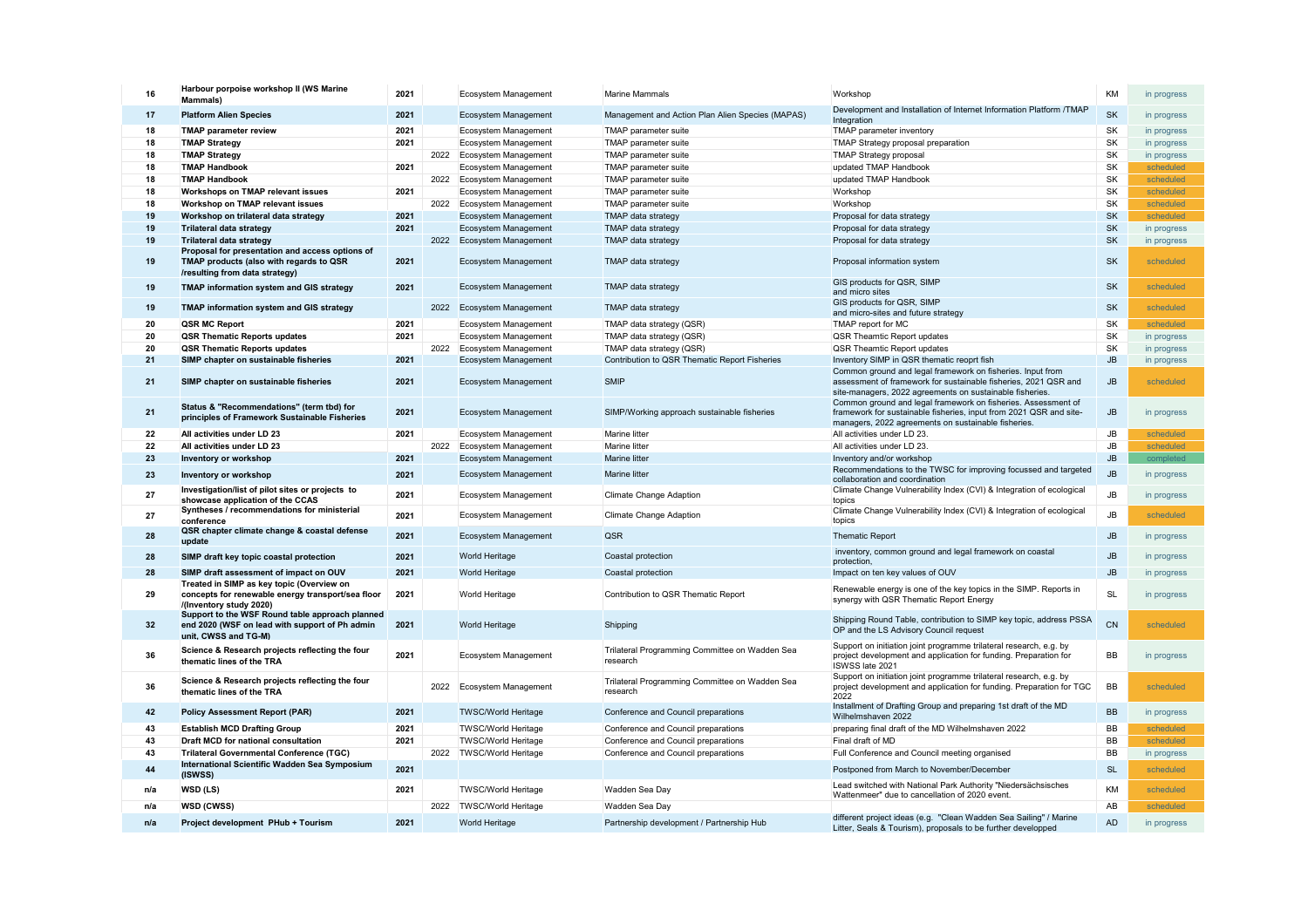| 16              | Harbour porpoise workshop II (WS Marine<br><b>Mammals</b> )                                                                                                     | 2021 |      | <b>Ecosystem Management</b>                                | <b>Marine Mammals</b>                                      | Workshop                                                                                                                                                                                   | KM            | in progress              |
|-----------------|-----------------------------------------------------------------------------------------------------------------------------------------------------------------|------|------|------------------------------------------------------------|------------------------------------------------------------|--------------------------------------------------------------------------------------------------------------------------------------------------------------------------------------------|---------------|--------------------------|
| 17              | <b>Platform Alien Species</b>                                                                                                                                   | 2021 |      | <b>Ecosystem Management</b>                                | Management and Action Plan Alien Species (MAPAS)           | Development and Installation of Internet Information Platform /TMAP<br>Integration                                                                                                         | <b>SK</b>     | in progress              |
| 18              | <b>TMAP parameter review</b>                                                                                                                                    | 2021 |      | <b>Ecosystem Management</b>                                | TMAP parameter suite                                       | TMAP parameter inventory                                                                                                                                                                   | <b>SK</b>     | in progress              |
| 18              | <b>TMAP Strategy</b>                                                                                                                                            | 2021 |      | Ecosystem Management                                       | TMAP parameter suite                                       | <b>TMAP Strategy proposal preparation</b>                                                                                                                                                  | <b>SK</b>     | in progress              |
| 18              | <b>TMAP Strategy</b>                                                                                                                                            |      | 2022 | Ecosystem Management                                       | TMAP parameter suite                                       | <b>TMAP Strategy proposal</b>                                                                                                                                                              | <b>SK</b>     | in progress              |
| 18              | <b>TMAP Handbook</b>                                                                                                                                            | 2021 |      | Ecosystem Management                                       | <b>TMAP</b> parameter suite                                | updated TMAP Handbook                                                                                                                                                                      | <b>SK</b>     | scheduled                |
| 18              | <b>TMAP Handbook</b>                                                                                                                                            |      | 2022 | Ecosystem Management                                       | <b>TMAP</b> parameter suite                                | updated TMAP Handbook                                                                                                                                                                      | <b>SK</b>     | scheduled                |
| 18              | <b>Workshops on TMAP relevant issues</b>                                                                                                                        | 2021 |      | Ecosystem Management                                       | <b>TMAP</b> parameter suite                                | Workshop                                                                                                                                                                                   | <b>SK</b>     | scheduled                |
| 18              | <b>Workshop on TMAP relevant issues</b>                                                                                                                         |      | 2022 | Ecosystem Management                                       | <b>TMAP</b> parameter suite                                | Workshop                                                                                                                                                                                   | SK            | scheduled                |
| 19              | Workshop on trilateral data strategy                                                                                                                            | 2021 |      | <b>Ecosystem Management</b>                                | <b>TMAP data strategy</b>                                  | Proposal for data strategy                                                                                                                                                                 | SK            | scheduled                |
| 19              | <b>Trilateral data strategy</b>                                                                                                                                 | 2021 |      | <b>Ecosystem Management</b>                                | <b>TMAP data strategy</b>                                  | Proposal for data strategy                                                                                                                                                                 | <b>SK</b>     |                          |
|                 |                                                                                                                                                                 |      | 2022 |                                                            |                                                            |                                                                                                                                                                                            | <b>SK</b>     | in progress              |
| 19<br>19        | <b>Trilateral data strategy</b><br>Proposal for presentation and access options of<br>TMAP products (also with regards to QSR<br>/resulting from data strategy) | 2021 |      | <b>Ecosystem Management</b><br><b>Ecosystem Management</b> | <b>TMAP data strategy</b><br><b>TMAP data strategy</b>     | Proposal for data strategy<br>Proposal information system                                                                                                                                  | <b>SK</b>     | in progress<br>scheduled |
| 19              | <b>TMAP information system and GIS strategy</b>                                                                                                                 | 2021 |      | <b>Ecosystem Management</b>                                | <b>TMAP data strategy</b>                                  | GIS products for QSR, SIMP<br>and micro sites                                                                                                                                              | <b>SK</b>     | scheduled                |
| 19              | <b>TMAP information system and GIS strategy</b>                                                                                                                 |      | 2022 | <b>Ecosystem Management</b>                                | <b>TMAP data strategy</b>                                  | GIS products for QSR, SIMP<br>and micro-sites and future strategy                                                                                                                          | <b>SK</b>     | scheduled                |
| 20              | <b>QSR MC Report</b>                                                                                                                                            | 2021 |      | Ecosystem Management                                       | TMAP data strategy (QSR)                                   | <b>TMAP report for MC</b>                                                                                                                                                                  | SK            | scheduled                |
| 20              | <b>QSR Thematic Reports updates</b>                                                                                                                             | 2021 |      | Ecosystem Management                                       | TMAP data strategy (QSR)                                   | <b>QSR Theamtic Report updates</b>                                                                                                                                                         | <b>SK</b>     | in progress              |
| 20              | <b>QSR Thematic Reports updates</b>                                                                                                                             |      | 2022 | Ecosystem Management                                       | TMAP data strategy (QSR)                                   | <b>QSR Theamtic Report updates</b>                                                                                                                                                         | <b>SK</b>     | in progress              |
| 21              | SIMP chapter on sustainable fisheries                                                                                                                           | 2021 |      | <b>Ecosystem Management</b>                                | Contribution to QSR Thematic Report Fisheries              | Inventory SIMP in QSR thematic reoprt fish                                                                                                                                                 | JB            | in progress              |
| 21              | SIMP chapter on sustainable fisheries                                                                                                                           | 2021 |      | <b>Ecosystem Management</b>                                | <b>SMIP</b>                                                | Common ground and legal framework on fisheries. Input from<br>assessment of framework for sustainable fisheries, 2021 QSR and<br>site-managers, 2022 agreements on sustainable fisheries.  | JB            | scheduled                |
| 21              | Status & "Recommendations" (term tbd) for<br>principles of Framework Sustainable Fisheries                                                                      | 2021 |      | <b>Ecosystem Management</b>                                | SIMP/Working approach sustainable fisheries                | Common ground and legal framework on fisheries. Assessment of<br>framework for sustainable fisheries, input from 2021 QSR and site-<br>managers, 2022 agreements on sustainable fisheries. | JB            | in progress              |
| 22              | All activities under LD 23                                                                                                                                      | 2021 |      | <b>Ecosystem Management</b>                                | Marine litter                                              | All activities under LD 23.                                                                                                                                                                | JB            | scheduled                |
| 22              | All activities under LD 23                                                                                                                                      |      | 2022 | <b>Ecosystem Management</b>                                | Marine litter                                              | All activities under LD 23.                                                                                                                                                                | <b>JB</b>     | scheduled                |
| 23              | <b>Inventory or workshop</b>                                                                                                                                    | 2021 |      | Ecosystem Management                                       | Marine litter                                              | Inventory and/or workshop                                                                                                                                                                  | JB            | completed                |
| 23              | <b>Inventory or workshop</b>                                                                                                                                    | 2021 |      | <b>Ecosystem Management</b>                                | <b>Marine litter</b>                                       | Recommendations to the TWSC for improving focussed and targeted<br>collaboration and coordination                                                                                          | JB            | in progress              |
| 27              | Investigation/list of pilot sites or projects to<br>showcase application of the CCAS                                                                            | 2021 |      | <b>Ecosystem Management</b>                                | <b>Climate Change Adaption</b>                             | Climate Change Vulnerability Index (CVI) & Integration of ecological<br>topics                                                                                                             | <b>JB</b>     | in progress              |
| 27              | Syntheses / recommendations for ministerial<br>conference                                                                                                       | 2021 |      | Ecosystem Management                                       | <b>Climate Change Adaption</b>                             | Climate Change Vulnerability Index (CVI) & Integration of ecological<br>topics                                                                                                             | $\mathsf{JB}$ | scheduled                |
| 28              | QSR chapter climate change & coastal defense<br>update                                                                                                          | 2021 |      | <b>Ecosystem Management</b>                                | QSR                                                        | <b>Thematic Report</b>                                                                                                                                                                     | JB            | in progress              |
| 28              | SIMP draft key topic coastal protection                                                                                                                         | 2021 |      | <b>World Heritage</b>                                      | <b>Coastal protection</b>                                  | inventory, common ground and legal framework on coastal<br>protection,                                                                                                                     | JB            | in progress              |
| 28              | SIMP draft assessment of impact on OUV                                                                                                                          | 2021 |      | <b>World Heritage</b>                                      | <b>Coastal protection</b>                                  | Impact on ten key values of OUV                                                                                                                                                            | JB            | in progress              |
| 29              | Treated in SIMP as key topic (Overview on<br>concepts for renewable energy transport/sea floor<br>/(Inventory study 2020)                                       | 2021 |      | <b>World Heritage</b>                                      | Contribution to QSR Thematic Report                        | Renewable energy is one of the key topics in the SIMP. Reports in<br>synergy with QSR Thematic Report Energy                                                                               | <b>SL</b>     | in progress              |
| 32 <sub>2</sub> | Support to the WSF Round table approach planned<br>end 2020 (WSF on lead with support of Ph admin<br>unit, CWSS and TG-M)                                       | 2021 |      | <b>World Heritage</b>                                      | Shipping                                                   | Shipping Round Table, contribution to SIMP key topic, address PSSA<br>OP and the LS Advisory Council request                                                                               | <b>CN</b>     | scheduled                |
| 36              | Science & Research projects reflecting the four<br>thematic lines of the TRA                                                                                    | 2021 |      | <b>Ecosystem Management</b>                                | Trilateral Programming Committee on Wadden Sea<br>research | Support on initiation joint programme trilateral research, e.g. by<br>project development and application for funding. Preparation for<br>ISWSS late 2021                                  | <b>BB</b>     | in progress              |
| 36              | Science & Research projects reflecting the four<br>thematic lines of the TRA                                                                                    |      | 2022 | Ecosystem Management                                       | Trilateral Programming Committee on Wadden Sea<br>research | Support on initiation joint programme trilateral research, e.g. by<br>project development and application for funding. Preparation for TGC<br>2022                                         | BB            | scheduled                |
| 42              | <b>Policy Assessment Report (PAR)</b>                                                                                                                           | 2021 |      | <b>TWSC/World Heritage</b>                                 | Conference and Council preparations                        | Installment of Drafting Group and preparing 1st draft of the MD<br>Wilhelmshaven 2022                                                                                                      | <b>BB</b>     | in progress              |
| 43              | <b>Establish MCD Drafting Group</b>                                                                                                                             | 2021 |      | <b>TWSC/World Heritage</b>                                 | Conference and Council preparations                        | preparing final draft of the MD Wilhelmshaven 2022                                                                                                                                         | BB            | scheduled                |
| 43              | <b>Draft MCD for national consultation</b>                                                                                                                      | 2021 |      | <b>TWSC/World Heritage</b>                                 | Conference and Council preparations                        | Final draft of MD                                                                                                                                                                          | BB            | scheduled                |
| 43              | <b>Trilateral Governmental Conference (TGC)</b>                                                                                                                 |      | 2022 | <b>TWSC/World Heritage</b>                                 | Conference and Council preparations                        | Full Conference and Council meeting organised                                                                                                                                              | <b>BB</b>     | in progress              |
| 44              | International Scientific Wadden Sea Symposium<br>(ISWSS)                                                                                                        | 2021 |      |                                                            |                                                            | Postponed from March to November/December                                                                                                                                                  | <b>SL</b>     | scheduled                |
| n/a             | <b>WSD (LS)</b>                                                                                                                                                 | 2021 |      | <b>TWSC/World Heritage</b>                                 | Wadden Sea Day                                             | Lead switched with National Park Authority "Niedersächsisches                                                                                                                              | KM            | scheduled                |
|                 | <b>WSD (CWSS)</b>                                                                                                                                               |      | 2022 | <b>TWSC/World Heritage</b>                                 | Wadden Sea Day                                             | Wattenmeer" due to cancellation of 2020 event.                                                                                                                                             | AB            | scheduled                |
| n/a<br>n/a      | Project development PHub + Tourism                                                                                                                              | 2021 |      | <b>World Heritage</b>                                      | Partnership development / Partnership Hub                  | different project ideas (e.g. "Clean Wadden Sea Sailing" / Marine                                                                                                                          | <b>AD</b>     | in progress              |
|                 |                                                                                                                                                                 |      |      |                                                            |                                                            | Litter, Seals & Tourism), proposals to be further developped                                                                                                                               |               |                          |